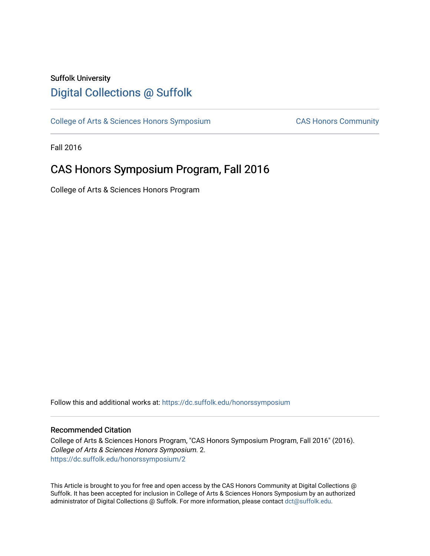## Suffolk University [Digital Collections @ Suffolk](https://dc.suffolk.edu/)

[College of Arts & Sciences Honors Symposium](https://dc.suffolk.edu/honorssymposium) CAS Honors Community

Fall 2016

## CAS Honors Symposium Program, Fall 2016

College of Arts & Sciences Honors Program

Follow this and additional works at: [https://dc.suffolk.edu/honorssymposium](https://dc.suffolk.edu/honorssymposium?utm_source=dc.suffolk.edu%2Fhonorssymposium%2F2&utm_medium=PDF&utm_campaign=PDFCoverPages) 

### Recommended Citation

College of Arts & Sciences Honors Program, "CAS Honors Symposium Program, Fall 2016" (2016). College of Arts & Sciences Honors Symposium. 2. [https://dc.suffolk.edu/honorssymposium/2](https://dc.suffolk.edu/honorssymposium/2?utm_source=dc.suffolk.edu%2Fhonorssymposium%2F2&utm_medium=PDF&utm_campaign=PDFCoverPages)

This Article is brought to you for free and open access by the CAS Honors Community at Digital Collections @ Suffolk. It has been accepted for inclusion in College of Arts & Sciences Honors Symposium by an authorized administrator of Digital Collections @ Suffolk. For more information, please contact [dct@suffolk.edu.](mailto:dct@suffolk.edu)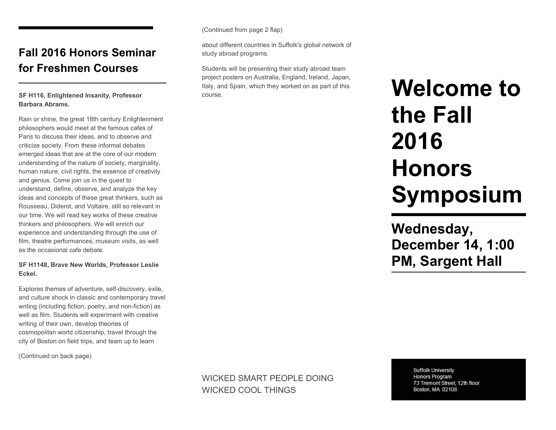## **Fall 2016 Honors Seminar for Freshmen Courses**

### **SF H116, Enlightened Insanity, Professor Barbara Abrams.**

Rain or shine, the great 18th century Enlightenment philosophers would meet at the famous cafes of Paris to discuss their ideas, and to observe and criticize society. From these informal debates emerged ideas that are at the core of our modern understanding of the nature of society, marginality, human nature, civil rights, the essence of creativity and genius. Come join us in the quest to understand, define, observe, and analyze the key ideas and concepts of these great thinkers, such as Rousseau, Diderot, and Voltaire, still so relevant in our time. We will read key works of these creative thinkers and philosophers. We will enrich our experience and understanding through the use of film, theatre performances, museum visits, as well as the occasional cafe debate.

#### **SF H1148, Brave New Worlds, Professor Leslie Eckel.**

Explores themes of adventure, self-discovery, exile, and culture shock in classic and contemporary travel writing (including fiction, poetry, and non-fiction) as well as film. Students will experiment with creative writing of their own, develop theories of cosmopolitan world citizenship, travel through the city of Boston on field trips, and team up to learn

(Continued on back page)

(Continued from page 2 flap)

about different countries in Suffolk's global network of study abroad programs.

Students will be presenting their study abroad team project posters on Australia, England, Ireland, Japan, Italy, and Spain, which they worked on as part of this course.

# **Welcome to the Fall 2016 Honors Symposium**

**Wednesday, December 14, 1:00 PM, Sargent Hall**

WICKED SMART PEOPLE DOING WICKED COOL THINGS

**Suffolk University** Honors Program 73 Tremont Street, 12th floor Boston, MA 02108